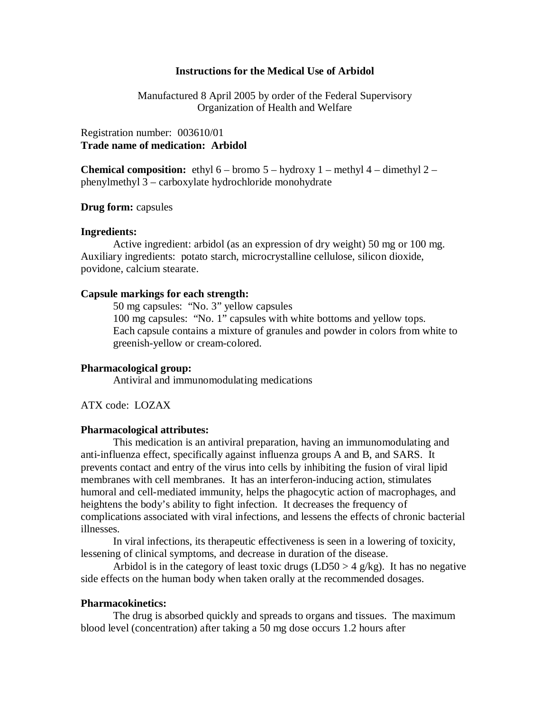### **Instructions for the Medical Use of Arbidol**

Manufactured 8 April 2005 by order of the Federal Supervisory Organization of Health and Welfare

Registration number: 003610/01 **Trade name of medication: Arbidol**

**Chemical composition:** ethyl  $6$  – bromo  $5$  – hydroxy  $1$  – methyl  $4$  – dimethyl  $2$  – phenylmethyl 3 – carboxylate hydrochloride monohydrate

### **Drug form:** capsules

### **Ingredients:**

Active ingredient: arbidol (as an expression of dry weight) 50 mg or 100 mg. Auxiliary ingredients: potato starch, microcrystalline cellulose, silicon dioxide, povidone, calcium stearate.

### **Capsule markings for each strength:**

50 mg capsules: "No. 3" yellow capsules 100 mg capsules: "No. 1" capsules with white bottoms and yellow tops. Each capsule contains a mixture of granules and powder in colors from white to greenish-yellow or cream-colored.

## **Pharmacological group:**

Antiviral and immunomodulating medications

ATX code: LOZAX

### **Pharmacological attributes:**

This medication is an antiviral preparation, having an immunomodulating and anti-influenza effect, specifically against influenza groups A and B, and SARS. It prevents contact and entry of the virus into cells by inhibiting the fusion of viral lipid membranes with cell membranes. It has an interferon-inducing action, stimulates humoral and cell-mediated immunity, helps the phagocytic action of macrophages, and heightens the body's ability to fight infection. It decreases the frequency of complications associated with viral infections, and lessens the effects of chronic bacterial illnesses.

In viral infections, its therapeutic effectiveness is seen in a lowering of toxicity, lessening of clinical symptoms, and decrease in duration of the disease.

Arbidol is in the category of least toxic drugs (LD50 > 4 g/kg). It has no negative side effects on the human body when taken orally at the recommended dosages.

### **Pharmacokinetics:**

The drug is absorbed quickly and spreads to organs and tissues. The maximum blood level (concentration) after taking a 50 mg dose occurs 1.2 hours after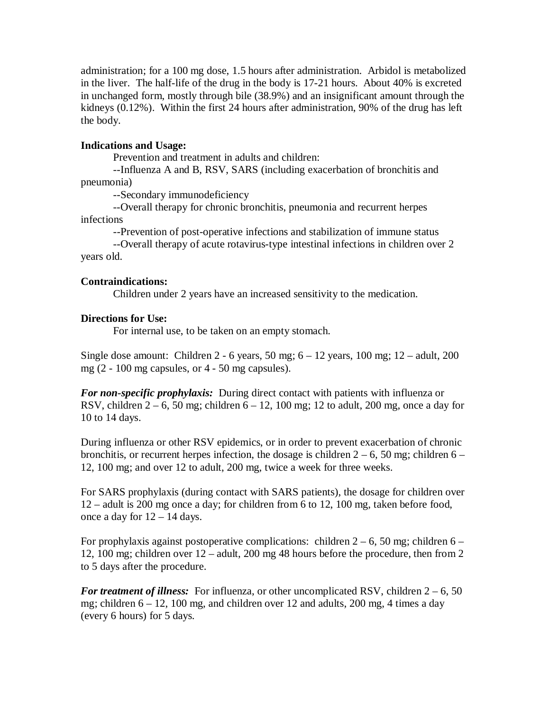administration; for a 100 mg dose, 1.5 hours after administration. Arbidol is metabolized in the liver. The half-life of the drug in the body is 17-21 hours. About 40% is excreted in unchanged form, mostly through bile (38.9%) and an insignificant amount through the kidneys (0.12%). Within the first 24 hours after administration, 90% of the drug has left the body.

# **Indications and Usage:**

Prevention and treatment in adults and children:

--Influenza A and B, RSV, SARS (including exacerbation of bronchitis and pneumonia)

--Secondary immunodeficiency

--Overall therapy for chronic bronchitis, pneumonia and recurrent herpes infections

--Prevention of post-operative infections and stabilization of immune status

--Overall therapy of acute rotavirus-type intestinal infections in children over 2 years old.

# **Contraindications:**

Children under 2 years have an increased sensitivity to the medication.

# **Directions for Use:**

For internal use, to be taken on an empty stomach.

Single dose amount: Children 2 - 6 years,  $50 \text{ mg}$ ;  $6 - 12 \text{ years}$ ,  $100 \text{ mg}$ ;  $12 - \text{adult}$ ,  $200$ mg (2 - 100 mg capsules, or 4 - 50 mg capsules).

*For non-specific prophylaxis:* During direct contact with patients with influenza or RSV, children  $2 - 6$ , 50 mg; children  $6 - 12$ , 100 mg; 12 to adult, 200 mg, once a day for 10 to 14 days.

During influenza or other RSV epidemics, or in order to prevent exacerbation of chronic bronchitis, or recurrent herpes infection, the dosage is children  $2 - 6$ , 50 mg; children 6 – 12, 100 mg; and over 12 to adult, 200 mg, twice a week for three weeks.

For SARS prophylaxis (during contact with SARS patients), the dosage for children over 12 – adult is 200 mg once a day; for children from 6 to 12, 100 mg, taken before food, once a day for  $12 - 14$  days.

For prophylaxis against postoperative complications: children  $2 - 6$ , 50 mg; children  $6 -$ 12, 100 mg; children over 12 – adult, 200 mg 48 hours before the procedure, then from 2 to 5 days after the procedure.

*For treatment of illness:* For influenza, or other uncomplicated RSV, children 2 – 6, 50 mg; children  $6 - 12$ , 100 mg, and children over 12 and adults, 200 mg, 4 times a day (every 6 hours) for 5 days.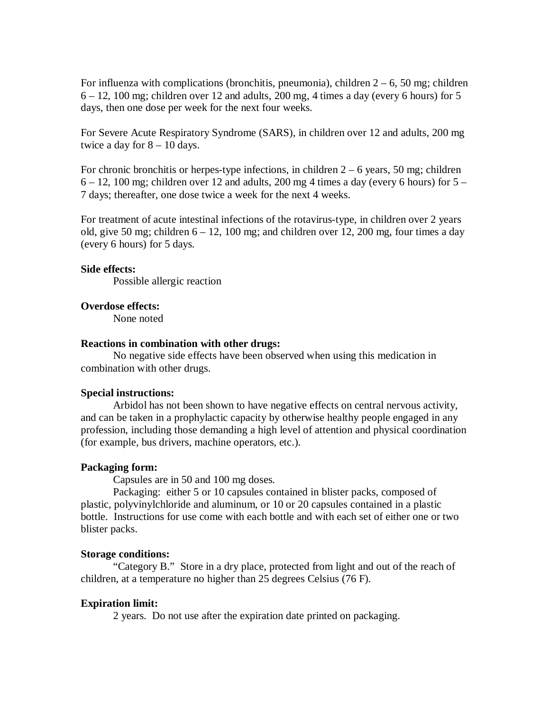For influenza with complications (bronchitis, pneumonia), children  $2 - 6$ , 50 mg; children  $6 - 12$ , 100 mg; children over 12 and adults, 200 mg, 4 times a day (every 6 hours) for 5 days, then one dose per week for the next four weeks.

For Severe Acute Respiratory Syndrome (SARS), in children over 12 and adults, 200 mg twice a day for  $8 - 10$  days.

For chronic bronchitis or herpes-type infections, in children  $2 - 6$  years, 50 mg; children  $6 - 12$ , 100 mg; children over 12 and adults, 200 mg 4 times a day (every 6 hours) for  $5 - 12$ 7 days; thereafter, one dose twice a week for the next 4 weeks.

For treatment of acute intestinal infections of the rotavirus-type, in children over 2 years old, give 50 mg; children  $6 - 12$ , 100 mg; and children over 12, 200 mg, four times a day (every 6 hours) for 5 days.

### **Side effects:**

Possible allergic reaction

### **Overdose effects:**

None noted

### **Reactions in combination with other drugs:**

No negative side effects have been observed when using this medication in combination with other drugs.

### **Special instructions:**

Arbidol has not been shown to have negative effects on central nervous activity, and can be taken in a prophylactic capacity by otherwise healthy people engaged in any profession, including those demanding a high level of attention and physical coordination (for example, bus drivers, machine operators, etc.).

### **Packaging form:**

Capsules are in 50 and 100 mg doses.

Packaging: either 5 or 10 capsules contained in blister packs, composed of plastic, polyvinylchloride and aluminum, or 10 or 20 capsules contained in a plastic bottle. Instructions for use come with each bottle and with each set of either one or two blister packs.

### **Storage conditions:**

"Category B." Store in a dry place, protected from light and out of the reach of children, at a temperature no higher than 25 degrees Celsius (76 F).

### **Expiration limit:**

2 years. Do not use after the expiration date printed on packaging.